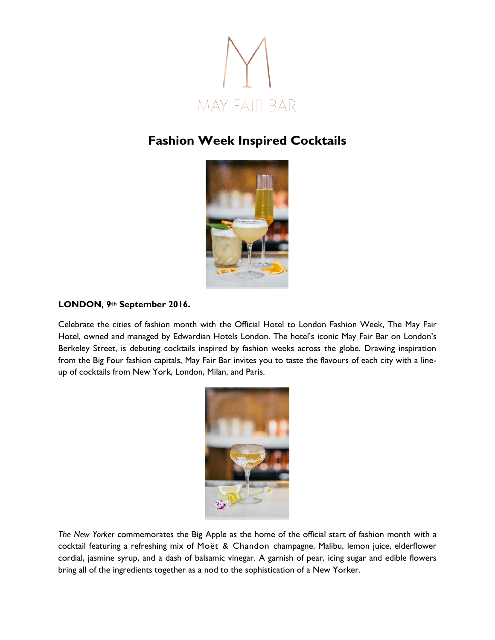

## **Fashion Week Inspired Cocktails**



## **LONDON, 9th September 2016.**

Celebrate the cities of fashion month with the Official Hotel to London Fashion Week, The May Fair Hotel, owned and managed by Edwardian Hotels London. The hotel's iconic May Fair Bar on London's Berkeley Street, is debuting cocktails inspired by fashion weeks across the globe. Drawing inspiration from the Big Four fashion capitals, May Fair Bar invites you to taste the flavours of each city with a lineup of cocktails from New York, London, Milan, and Paris.



*The New Yorker* commemorates the Big Apple as the home of the official start of fashion month with a cocktail featuring a refreshing mix of Moët & Chandon champagne, Malibu, lemon juice, elderflower cordial, jasmine syrup, and a dash of balsamic vinegar. A garnish of pear, icing sugar and edible flowers bring all of the ingredients together as a nod to the sophistication of a New Yorker.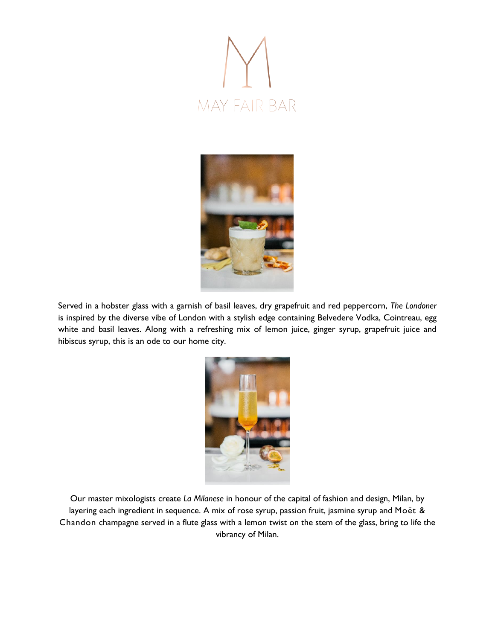



Served in a hobster glass with a garnish of basil leaves, dry grapefruit and red peppercorn, *The Londoner* is inspired by the diverse vibe of London with a stylish edge containing Belvedere Vodka, Cointreau, egg white and basil leaves. Along with a refreshing mix of lemon juice, ginger syrup, grapefruit juice and hibiscus syrup, this is an ode to our home city.



Our master mixologists create *La Milanese* in honour of the capital of fashion and design, Milan, by layering each ingredient in sequence. A mix of rose syrup, passion fruit, jasmine syrup and Moët & Chandon champagne served in a flute glass with a lemon twist on the stem of the glass, bring to life the vibrancy of Milan.